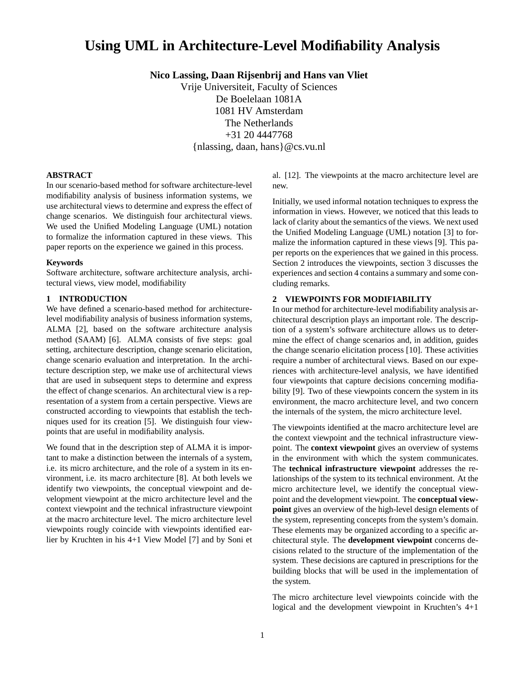# **Using UML in Architecture-Level Modifiability Analysis**

**Nico Lassing, Daan Rijsenbrij and Hans van Vliet**

Vrije Universiteit, Faculty of Sciences De Boelelaan 1081A 1081 HV Amsterdam The Netherlands +31 20 4447768 {nlassing, daan, hans}@cs.vu.nl

# **ABSTRACT**

In our scenario-based method for software architecture-level modifiability analysis of business information systems, we use architectural views to determine and express the effect of change scenarios. We distinguish four architectural views. We used the Unified Modeling Language (UML) notation to formalize the information captured in these views. This paper reports on the experience we gained in this process.

#### **Keywords**

Software architecture, software architecture analysis, architectural views, view model, modifiability

## **1 INTRODUCTION**

We have defined a scenario-based method for architecturelevel modifiability analysis of business information systems, ALMA [2], based on the software architecture analysis method (SAAM) [6]. ALMA consists of five steps: goal setting, architecture description, change scenario elicitation, change scenario evaluation and interpretation. In the architecture description step, we make use of architectural views that are used in subsequent steps to determine and express the effect of change scenarios. An architectural view is a representation of a system from a certain perspective. Views are constructed according to viewpoints that establish the techniques used for its creation [5]. We distinguish four viewpoints that are useful in modifiability analysis.

We found that in the description step of ALMA it is important to make a distinction between the internals of a system, i.e. its micro architecture, and the role of a system in its environment, i.e. its macro architecture [8]. At both levels we identify two viewpoints, the conceptual viewpoint and development viewpoint at the micro architecture level and the context viewpoint and the technical infrastructure viewpoint at the macro architecture level. The micro architecture level viewpoints rougly coincide with viewpoints identified earlier by Kruchten in his 4+1 View Model [7] and by Soni et al. [12]. The viewpoints at the macro architecture level are new.

Initially, we used informal notation techniques to express the information in views. However, we noticed that this leads to lack of clarity about the semantics of the views. We next used the Unified Modeling Language (UML) notation [3] to formalize the information captured in these views [9]. This paper reports on the experiences that we gained in this process. Section 2 introduces the viewpoints, section 3 discusses the experiences and section 4 contains a summary and some concluding remarks.

## **2 VIEWPOINTS FOR MODIFIABILITY**

In our method for architecture-level modifiability analysis architectural description plays an important role. The description of a system's software architecture allows us to determine the effect of change scenarios and, in addition, guides the change scenario elicitation process [10]. These activities require a number of architectural views. Based on our experiences with architecture-level analysis, we have identified four viewpoints that capture decisions concerning modifiability [9]. Two of these viewpoints concern the system in its environment, the macro architecture level, and two concern the internals of the system, the micro architecture level.

The viewpoints identified at the macro architecture level are the context viewpoint and the technical infrastructure viewpoint. The **context viewpoint** gives an overview of systems in the environment with which the system communicates. The **technical infrastructure viewpoint** addresses the relationships of the system to its technical environment. At the micro architecture level, we identify the conceptual viewpoint and the development viewpoint. The **conceptual viewpoint** gives an overview of the high-level design elements of the system, representing concepts from the system's domain. These elements may be organized according to a specific architectural style. The **development viewpoint** concerns decisions related to the structure of the implementation of the system. These decisions are captured in prescriptions for the building blocks that will be used in the implementation of the system.

The micro architecture level viewpoints coincide with the logical and the development viewpoint in Kruchten's 4+1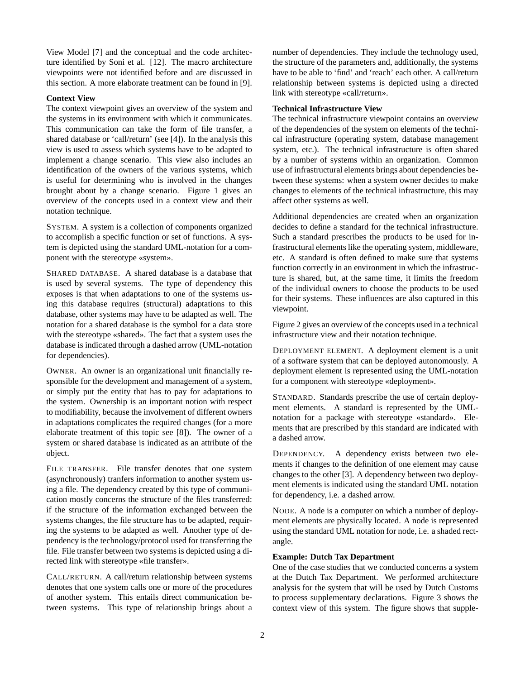View Model [7] and the conceptual and the code architecture identified by Soni et al. [12]. The macro architecture viewpoints were not identified before and are discussed in this section. A more elaborate treatment can be found in [9].

## **Context View**

The context viewpoint gives an overview of the system and the systems in its environment with which it communicates. This communication can take the form of file transfer, a shared database or 'call/return' (see [4]). In the analysis this view is used to assess which systems have to be adapted to implement a change scenario. This view also includes an identification of the owners of the various systems, which is useful for determining who is involved in the changes brought about by a change scenario. Figure 1 gives an overview of the concepts used in a context view and their notation technique.

SYSTEM. A system is a collection of components organized to accomplish a specific function or set of functions. A system is depicted using the standard UML-notation for a component with the stereotype «system».

SHARED DATABASE. A shared database is a database that is used by several systems. The type of dependency this exposes is that when adaptations to one of the systems using this database requires (structural) adaptations to this database, other systems may have to be adapted as well. The notation for a shared database is the symbol for a data store with the stereotype «shared». The fact that a system uses the database is indicated through a dashed arrow (UML-notation for dependencies).

OWNER. An owner is an organizational unit financially responsible for the development and management of a system, or simply put the entity that has to pay for adaptations to the system. Ownership is an important notion with respect to modifiability, because the involvement of different owners in adaptations complicates the required changes (for a more elaborate treatment of this topic see [8]). The owner of a system or shared database is indicated as an attribute of the object.

FILE TRANSFER. File transfer denotes that one system (asynchronously) tranfers information to another system using a file. The dependency created by this type of communication mostly concerns the structure of the files transferred: if the structure of the information exchanged between the systems changes, the file structure has to be adapted, requiring the systems to be adapted as well. Another type of dependency is the technology/protocol used for transferring the file. File transfer between two systems is depicted using a directed link with stereotype «file transfer».

CALL/RETURN. A call/return relationship between systems denotes that one system calls one or more of the procedures of another system. This entails direct communication between systems. This type of relationship brings about a number of dependencies. They include the technology used, the structure of the parameters and, additionally, the systems have to be able to 'find' and 'reach' each other. A call/return relationship between systems is depicted using a directed link with stereotype «call/return».

## **Technical Infrastructure View**

The technical infrastructure viewpoint contains an overview of the dependencies of the system on elements of the technical infrastructure (operating system, database management system, etc.). The technical infrastructure is often shared by a number of systems within an organization. Common use of infrastructural elements brings about dependencies between these systems: when a system owner decides to make changes to elements of the technical infrastructure, this may affect other systems as well.

Additional dependencies are created when an organization decides to define a standard for the technical infrastructure. Such a standard prescribes the products to be used for infrastructural elements like the operating system, middleware, etc. A standard is often defined to make sure that systems function correctly in an environment in which the infrastructure is shared, but, at the same time, it limits the freedom of the individual owners to choose the products to be used for their systems. These influences are also captured in this viewpoint.

Figure 2 gives an overview of the concepts used in a technical infrastructure view and their notation technique.

DEPLOYMENT ELEMENT. A deployment element is a unit of a software system that can be deployed autonomously. A deployment element is represented using the UML-notation for a component with stereotype «deployment».

STANDARD. Standards prescribe the use of certain deployment elements. A standard is represented by the UMLnotation for a package with stereotype «standard». Elements that are prescribed by this standard are indicated with a dashed arrow.

DEPENDENCY. A dependency exists between two elements if changes to the definition of one element may cause changes to the other [3]. A dependency between two deployment elements is indicated using the standard UML notation for dependency, i.e. a dashed arrow.

NODE. A node is a computer on which a number of deployment elements are physically located. A node is represented using the standard UML notation for node, i.e. a shaded rectangle.

## **Example: Dutch Tax Department**

One of the case studies that we conducted concerns a system at the Dutch Tax Department. We performed architecture analysis for the system that will be used by Dutch Customs to process supplementary declarations. Figure 3 shows the context view of this system. The figure shows that supple-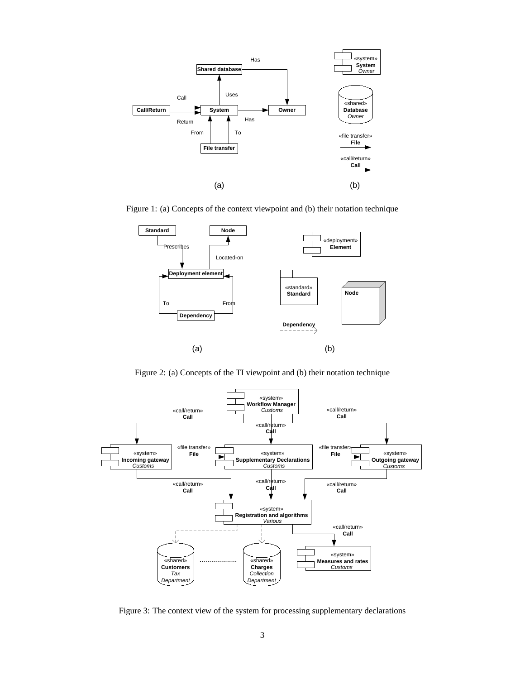

Figure 1: (a) Concepts of the context viewpoint and (b) their notation technique



Figure 2: (a) Concepts of the TI viewpoint and (b) their notation technique



Figure 3: The context view of the system for processing supplementary declarations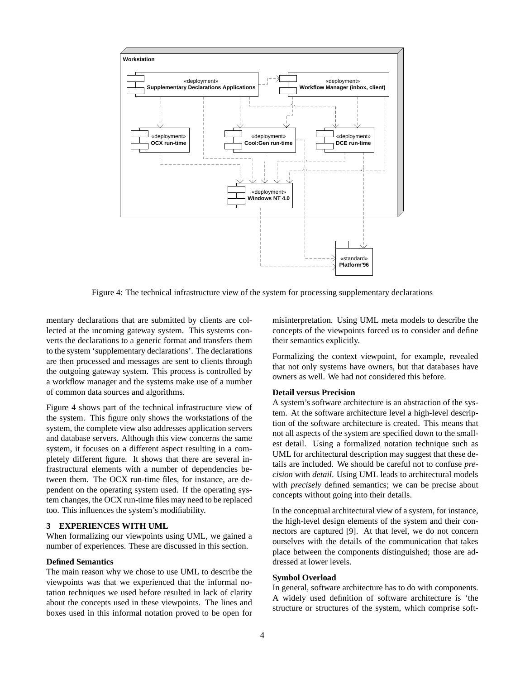

Figure 4: The technical infrastructure view of the system for processing supplementary declarations

mentary declarations that are submitted by clients are collected at the incoming gateway system. This systems converts the declarations to a generic format and transfers them to the system 'supplementary declarations'. The declarations are then processed and messages are sent to clients through the outgoing gateway system. This process is controlled by a workflow manager and the systems make use of a number of common data sources and algorithms.

Figure 4 shows part of the technical infrastructure view of the system. This figure only shows the workstations of the system, the complete view also addresses application servers and database servers. Although this view concerns the same system, it focuses on a different aspect resulting in a completely different figure. It shows that there are several infrastructural elements with a number of dependencies between them. The OCX run-time files, for instance, are dependent on the operating system used. If the operating system changes, the OCX run-time files may need to be replaced too. This influences the system's modifiability.

#### **3 EXPERIENCES WITH UML**

When formalizing our viewpoints using UML, we gained a number of experiences. These are discussed in this section.

## **Defined Semantics**

The main reason why we chose to use UML to describe the viewpoints was that we experienced that the informal notation techniques we used before resulted in lack of clarity about the concepts used in these viewpoints. The lines and boxes used in this informal notation proved to be open for

misinterpretation. Using UML meta models to describe the concepts of the viewpoints forced us to consider and define their semantics explicitly.

Formalizing the context viewpoint, for example, revealed that not only systems have owners, but that databases have owners as well. We had not considered this before.

#### **Detail versus Precision**

A system's software architecture is an abstraction of the system. At the software architecture level a high-level description of the software architecture is created. This means that not all aspects of the system are specified down to the smallest detail. Using a formalized notation technique such as UML for architectural description may suggest that these details are included. We should be careful not to confuse *precision* with *detail*. Using UML leads to architectural models with *precisely* defined semantics; we can be precise about concepts without going into their details.

In the conceptual architectural view of a system, for instance, the high-level design elements of the system and their connectors are captured [9]. At that level, we do not concern ourselves with the details of the communication that takes place between the components distinguished; those are addressed at lower levels.

#### **Symbol Overload**

In general, software architecture has to do with components. A widely used definition of software architecture is 'the structure or structures of the system, which comprise soft-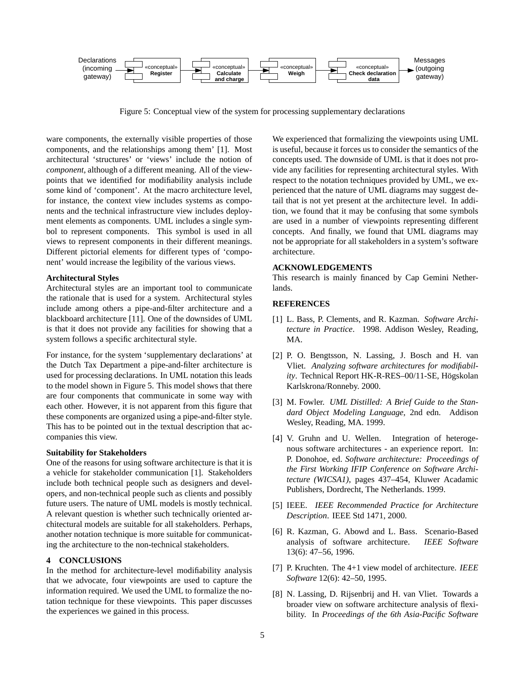

Figure 5: Conceptual view of the system for processing supplementary declarations

ware components, the externally visible properties of those components, and the relationships among them' [1]. Most architectural 'structures' or 'views' include the notion of *component*, although of a different meaning. All of the viewpoints that we identified for modifiability analysis include some kind of 'component'. At the macro architecture level, for instance, the context view includes systems as components and the technical infrastructure view includes deployment elements as components. UML includes a single symbol to represent components. This symbol is used in all views to represent components in their different meanings. Different pictorial elements for different types of 'component' would increase the legibility of the various views.

#### **Architectural Styles**

Architectural styles are an important tool to communicate the rationale that is used for a system. Architectural styles include among others a pipe-and-filter architecture and a blackboard architecture [11]. One of the downsides of UML is that it does not provide any facilities for showing that a system follows a specific architectural style.

For instance, for the system 'supplementary declarations' at the Dutch Tax Department a pipe-and-filter architecture is used for processing declarations. In UML notation this leads to the model shown in Figure 5. This model shows that there are four components that communicate in some way with each other. However, it is not apparent from this figure that these components are organized using a pipe-and-filter style. This has to be pointed out in the textual description that accompanies this view.

#### **Suitability for Stakeholders**

One of the reasons for using software architecture is that it is a vehicle for stakeholder communication [1]. Stakeholders include both technical people such as designers and developers, and non-technical people such as clients and possibly future users. The nature of UML models is mostly technical. A relevant question is whether such technically oriented architectural models are suitable for all stakeholders. Perhaps, another notation technique is more suitable for communicating the architecture to the non-technical stakeholders.

## **4 CONCLUSIONS**

In the method for architecture-level modifiability analysis that we advocate, four viewpoints are used to capture the information required. We used the UML to formalize the notation technique for these viewpoints. This paper discusses the experiences we gained in this process.

We experienced that formalizing the viewpoints using UML is useful, because it forces us to consider the semantics of the concepts used. The downside of UML is that it does not provide any facilities for representing architectural styles. With respect to the notation techniques provided by UML, we experienced that the nature of UML diagrams may suggest detail that is not yet present at the architecture level. In addition, we found that it may be confusing that some symbols are used in a number of viewpoints representing different concepts. And finally, we found that UML diagrams may not be appropriate for all stakeholders in a system's software architecture.

### **ACKNOWLEDGEMENTS**

This research is mainly financed by Cap Gemini Netherlands.

## **REFERENCES**

- [1] L. Bass, P. Clements, and R. Kazman. *Software Architecture in Practice*. 1998. Addison Wesley, Reading, MA.
- [2] P. O. Bengtsson, N. Lassing, J. Bosch and H. van Vliet. *Analyzing software architectures for modifiability*. Technical Report HK-R-RES–00/11-SE, Högskolan Karlskrona/Ronneby. 2000.
- [3] M. Fowler. *UML Distilled: A Brief Guide to the Standard Object Modeling Language*, 2nd edn. Addison Wesley, Reading, MA. 1999.
- [4] V. Gruhn and U. Wellen. Integration of heterogenous software architectures - an experience report. In: P. Donohoe, ed. *Software architecture: Proceedings of the First Working IFIP Conference on Software Architecture (WICSA1)*, pages 437–454, Kluwer Acadamic Publishers, Dordrecht, The Netherlands. 1999.
- [5] IEEE. *IEEE Recommended Practice for Architecture Description*. IEEE Std 1471, 2000.
- [6] R. Kazman, G. Abowd and L. Bass. Scenario-Based analysis of software architecture. *IEEE Software* 13(6): 47–56, 1996.
- [7] P. Kruchten. The 4+1 view model of architecture. *IEEE Software* 12(6): 42–50, 1995.
- [8] N. Lassing, D. Rijsenbrij and H. van Vliet. Towards a broader view on software architecture analysis of flexibility. In *Proceedings of the 6th Asia-Pacific Software*